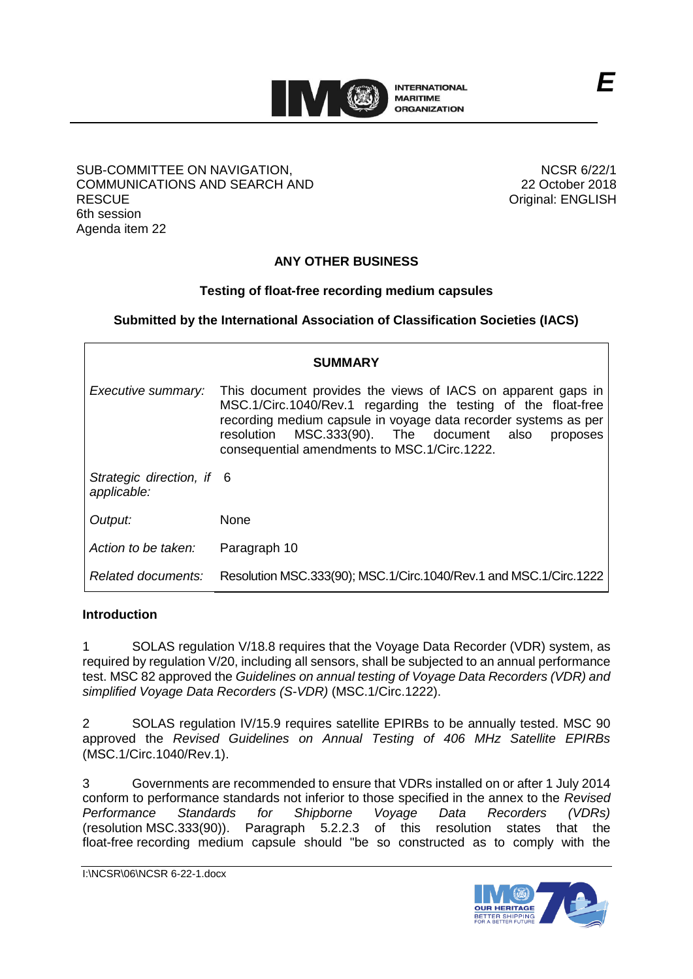

#### SUB-COMMITTEE ON NAVIGATION, COMMUNICATIONS AND SEARCH AND **RESCUE** 6th session Agenda item 22

NCSR 6/22/1 22 October 2018 Original: ENGLISH

# **ANY OTHER BUSINESS**

### **Testing of float-free recording medium capsules**

**Submitted by the International Association of Classification Societies (IACS)**

| <b>SUMMARY</b>                           |                                                                                                                                                                                                                                                                                                              |  |  |  |  |
|------------------------------------------|--------------------------------------------------------------------------------------------------------------------------------------------------------------------------------------------------------------------------------------------------------------------------------------------------------------|--|--|--|--|
| Executive summary:                       | This document provides the views of IACS on apparent gaps in<br>MSC.1/Circ.1040/Rev.1 regarding the testing of the float-free<br>recording medium capsule in voyage data recorder systems as per<br>MSC.333(90). The document also<br>resolution<br>proposes<br>consequential amendments to MSC.1/Circ.1222. |  |  |  |  |
| Strategic direction, if 6<br>applicable: |                                                                                                                                                                                                                                                                                                              |  |  |  |  |
| Output:                                  | <b>None</b>                                                                                                                                                                                                                                                                                                  |  |  |  |  |
| Action to be taken:                      | Paragraph 10                                                                                                                                                                                                                                                                                                 |  |  |  |  |
| Related documents:                       | Resolution MSC.333(90); MSC.1/Circ.1040/Rev.1 and MSC.1/Circ.1222                                                                                                                                                                                                                                            |  |  |  |  |

#### **Introduction**

1 SOLAS regulation V/18.8 requires that the Voyage Data Recorder (VDR) system, as required by regulation V/20, including all sensors, shall be subjected to an annual performance test. MSC 82 approved the *Guidelines on annual testing of Voyage Data Recorders (VDR) and simplified Voyage Data Recorders (S-VDR)* (MSC.1/Circ.1222).

2 SOLAS regulation IV/15.9 requires satellite EPIRBs to be annually tested. MSC 90 approved the *Revised Guidelines on Annual Testing of 406 MHz Satellite EPIRBs* (MSC.1/Circ.1040/Rev.1).

3 Governments are recommended to ensure that VDRs installed on or after 1 July 2014 conform to performance standards not inferior to those specified in the annex to the *Revised Performance Standards for Shipborne Voyage Data Recorders (VDRs)* (resolution MSC.333(90)). Paragraph 5.2.2.3 of this resolution states that the float-free recording medium capsule should "be so constructed as to comply with the

I:\NCSR\06\NCSR 6-22-1.docx



*E*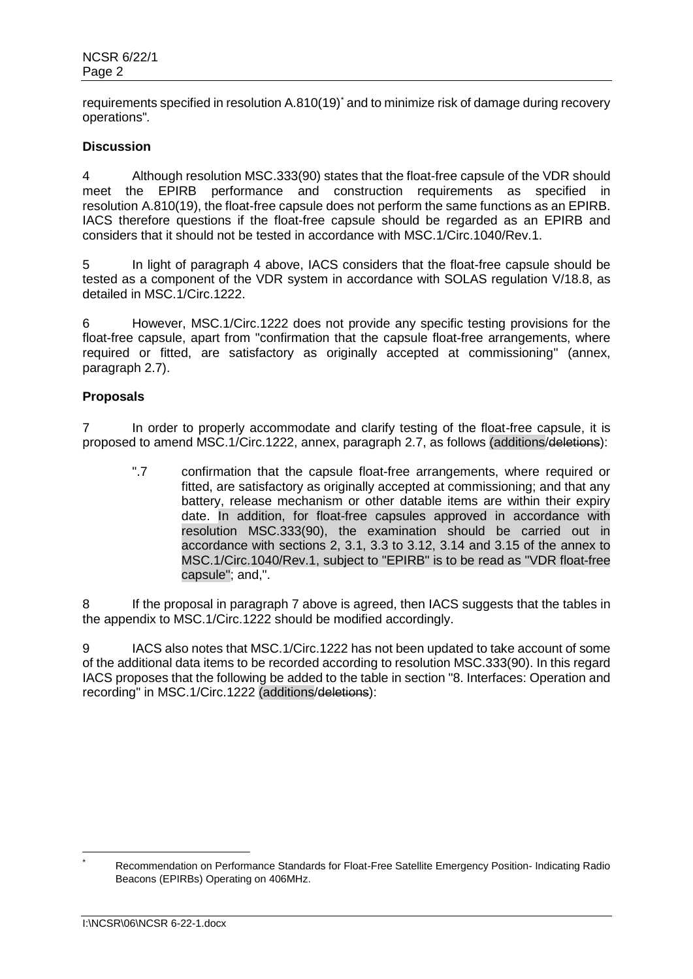requirements specified in resolution A.810(19)<sup>\*</sup> and to minimize risk of damage during recovery operations"*.*

#### **Discussion**

4 Although resolution MSC.333(90) states that the float-free capsule of the VDR should meet the EPIRB performance and construction requirements as specified in resolution A.810(19), the float-free capsule does not perform the same functions as an EPIRB. IACS therefore questions if the float-free capsule should be regarded as an EPIRB and considers that it should not be tested in accordance with MSC.1/Circ.1040/Rev.1.

5 In light of paragraph 4 above, IACS considers that the float-free capsule should be tested as a component of the VDR system in accordance with SOLAS regulation V/18.8, as detailed in MSC.1/Circ.1222.

6 However, MSC.1/Circ.1222 does not provide any specific testing provisions for the float-free capsule, apart from "confirmation that the capsule float-free arrangements, where required or fitted, are satisfactory as originally accepted at commissioning" (annex, paragraph 2.7).

#### **Proposals**

7 In order to properly accommodate and clarify testing of the float-free capsule, it is proposed to amend MSC.1/Circ.1222, annex, paragraph 2.7, as follows (additions/deletions):

".7 confirmation that the capsule float-free arrangements, where required or fitted, are satisfactory as originally accepted at commissioning; and that any battery, release mechanism or other datable items are within their expiry date. In addition, for float-free capsules approved in accordance with resolution MSC.333(90), the examination should be carried out in accordance with sections 2, 3.1, 3.3 to 3.12, 3.14 and 3.15 of the annex to MSC.1/Circ.1040/Rev.1, subject to "EPIRB" is to be read as "VDR float-free capsule"; and,".

8 If the proposal in paragraph 7 above is agreed, then IACS suggests that the tables in the appendix to MSC.1/Circ.1222 should be modified accordingly.

9 IACS also notes that MSC.1/Circ.1222 has not been updated to take account of some of the additional data items to be recorded according to resolution MSC.333(90). In this regard IACS proposes that the following be added to the table in section "8. Interfaces: Operation and recording" in MSC.1/Circ.1222 (additions/deletions):

 $\overline{a}$ 

Recommendation on Performance Standards for Float-Free Satellite Emergency Position- Indicating Radio Beacons (EPIRBs) Operating on 406MHz.